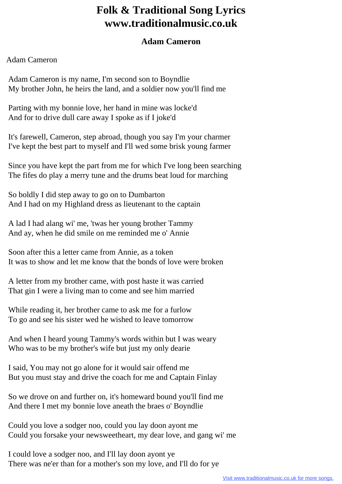## **Folk & Traditional Song Lyrics www.traditionalmusic.co.uk**

## **Adam Cameron**

## Adam Cameron

 Adam Cameron is my name, I'm second son to Boyndlie My brother John, he heirs the land, and a soldier now you'll find me

 Parting with my bonnie love, her hand in mine was locke'd And for to drive dull care away I spoke as if I joke'd

 It's farewell, Cameron, step abroad, though you say I'm your charmer I've kept the best part to myself and I'll wed some brisk young farmer

 Since you have kept the part from me for which I've long been searching The fifes do play a merry tune and the drums beat loud for marching

 So boldly I did step away to go on to Dumbarton And I had on my Highland dress as lieutenant to the captain

 A lad I had alang wi' me, 'twas her young brother Tammy And ay, when he did smile on me reminded me o' Annie

 Soon after this a letter came from Annie, as a token It was to show and let me know that the bonds of love were broken

 A letter from my brother came, with post haste it was carried That gin I were a living man to come and see him married

 While reading it, her brother came to ask me for a furlow To go and see his sister wed he wished to leave tomorrow

 And when I heard young Tammy's words within but I was weary Who was to be my brother's wife but just my only dearie

 I said, You may not go alone for it would sair offend me But you must stay and drive the coach for me and Captain Finlay

 So we drove on and further on, it's homeward bound you'll find me And there I met my bonnie love aneath the braes o' Boyndlie

 Could you love a sodger noo, could you lay doon ayont me Could you forsake your newsweetheart, my dear love, and gang wi' me

 I could love a sodger noo, and I'll lay doon ayont ye There was ne'er than for a mother's son my love, and I'll do for ye